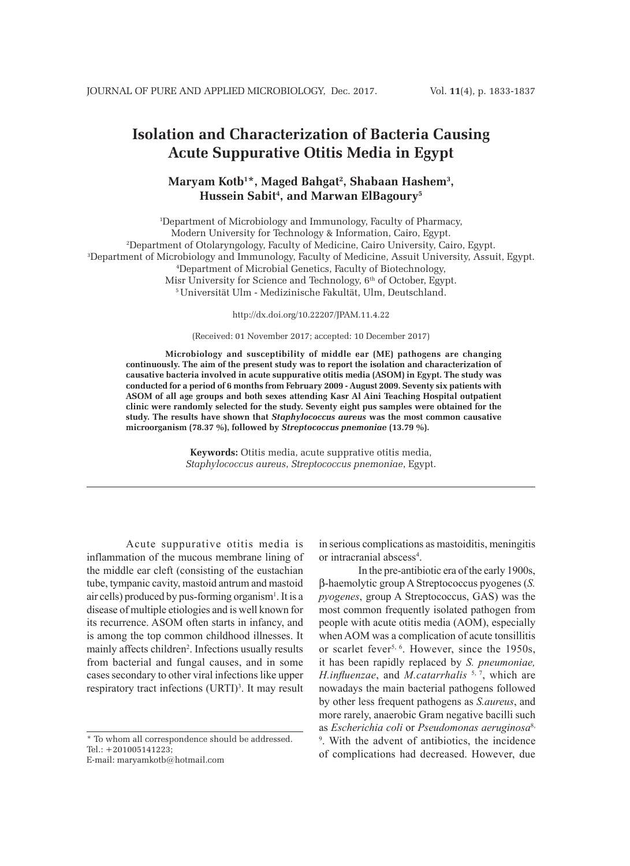# **Isolation and Characterization of Bacteria Causing Acute Suppurative Otitis Media in Egypt**

## **Maryam Kotb1 \*, Maged Bahgat2 , Shabaan Hashem3 , Hussein Sabit4 , and Marwan ElBagoury5**

1 Department of Microbiology and Immunology, Faculty of Pharmacy, Modern University for Technology & Information, Cairo, Egypt. 2 Department of Otolaryngology, Faculty of Medicine, Cairo University, Cairo, Egypt. 3 Department of Microbiology and Immunology, Faculty of Medicine, Assuit University, Assuit, Egypt. 4 Department of Microbial Genetics, Faculty of Biotechnology, Misr University for Science and Technology,  $6<sup>th</sup>$  of October, Egypt. 5 Universität Ulm - Medizinische Fakultät, Ulm, Deutschland.

http://dx.doi.org/10.22207/JPAM.11.4.22

(Received: 01 November 2017; accepted: 10 December 2017)

**Microbiology and susceptibility of middle ear (ME) pathogens are changing continuously. The aim of the present study was to report the isolation and characterization of causative bacteria involved in acute suppurative otitis media (ASOM) in Egypt. The study was conducted for a period of 6 months from February 2009 - August 2009. Seventy six patients with ASOM of all age groups and both sexes attending Kasr Al Aini Teaching Hospital outpatient clinic were randomly selected for the study. Seventy eight pus samples were obtained for the study. The results have shown that** *Staphylococcus aureus* **was the most common causative microorganism (78.37 %), followed by** *Streptococcus pnemoniae* **(13.79 %).**

> **Keywords:** Otitis media, acute supprative otitis media, *Staphylococcus aureus*, *Streptococcus pnemoniae*, Egypt.

Acute suppurative otitis media is inflammation of the mucous membrane lining of the middle ear cleft (consisting of the eustachian tube, tympanic cavity, mastoid antrum and mastoid air cells) produced by pus-forming organism<sup>1</sup>. It is a disease of multiple etiologies and is well known for its recurrence. ASOM often starts in infancy, and is among the top common childhood illnesses. It mainly affects children<sup>2</sup>. Infections usually results from bacterial and fungal causes, and in some cases secondary to other viral infections like upper respiratory tract infections  $(URTI)<sup>3</sup>$ . It may result

\* To whom all correspondence should be addressed. Tel.: +201005141223;

E-mail: maryamkotb@hotmail.com

in serious complications as mastoiditis, meningitis or intracranial abscess<sup>4</sup>.

In the pre-antibiotic era of the early 1900s, b-haemolytic group A Streptococcus pyogenes (*S. pyogenes*, group A Streptococcus, GAS) was the most common frequently isolated pathogen from people with acute otitis media (AOM), especially when AOM was a complication of acute tonsillitis or scarlet fever<sup>5, 6</sup>. However, since the 1950s, it has been rapidly replaced by *S. pneumoniae, H.influenzae*, and *M.catarrhalis* 5, 7, which are nowadays the main bacterial pathogens followed by other less frequent pathogens as *S.aureus*, and more rarely, anaerobic Gram negative bacilli such as *Escherichia coli* or *Pseudomonas aeruginosa*8, 9 . With the advent of antibiotics, the incidence of complications had decreased. However, due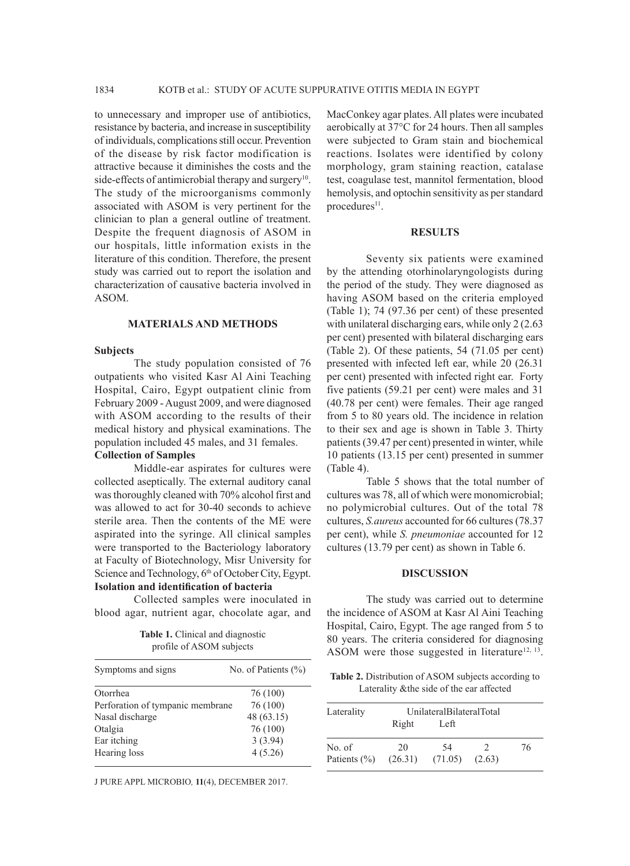to unnecessary and improper use of antibiotics, resistance by bacteria, and increase in susceptibility of individuals, complications still occur. Prevention of the disease by risk factor modification is attractive because it diminishes the costs and the side-effects of antimicrobial therapy and surgery<sup>10</sup>. The study of the microorganisms commonly associated with ASOM is very pertinent for the clinician to plan a general outline of treatment. Despite the frequent diagnosis of ASOM in our hospitals, little information exists in the literature of this condition. Therefore, the present study was carried out to report the isolation and characterization of causative bacteria involved in ASOM.

### **MATERIALS AND METHODS**

#### **Subjects**

The study population consisted of 76 outpatients who visited Kasr Al Aini Teaching Hospital, Cairo, Egypt outpatient clinic from February 2009 - August 2009, and were diagnosed with ASOM according to the results of their medical history and physical examinations. The population included 45 males, and 31 females.

#### **Collection of Samples**

Middle-ear aspirates for cultures were collected aseptically. The external auditory canal was thoroughly cleaned with 70% alcohol first and was allowed to act for 30-40 seconds to achieve sterile area. Then the contents of the ME were aspirated into the syringe. All clinical samples were transported to the Bacteriology laboratory at Faculty of Biotechnology, Misr University for Science and Technology, 6<sup>th</sup> of October City, Egypt. **Isolation and identification of bacteria**

Collected samples were inoculated in blood agar, nutrient agar, chocolate agar, and

**Table 1.** Clinical and diagnostic profile of ASOM subjects

| Symptoms and signs               | No. of Patients $(\% )$ |
|----------------------------------|-------------------------|
| Otorrhea                         | 76 (100)                |
| Perforation of tympanic membrane | 76 (100)                |
| Nasal discharge                  | 48 (63.15)              |
| Otalgia                          | 76 (100)                |
| Ear itching                      | 3(3.94)                 |
| Hearing loss                     | 4(5.26)                 |

J PURE APPL MICROBIO*,* **11**(4), DECEMBER 2017.

MacConkey agar plates. All plates were incubated aerobically at 37°C for 24 hours. Then all samples were subjected to Gram stain and biochemical reactions. Isolates were identified by colony morphology, gram staining reaction, catalase test, coagulase test, mannitol fermentation, blood hemolysis, and optochin sensitivity as per standard procedures<sup>11</sup>.

#### **RESULTS**

Seventy six patients were examined by the attending otorhinolaryngologists during the period of the study. They were diagnosed as having ASOM based on the criteria employed (Table 1); 74 (97.36 per cent) of these presented with unilateral discharging ears, while only 2 (2.63 per cent) presented with bilateral discharging ears (Table 2). Of these patients, 54 (71.05 per cent) presented with infected left ear, while 20 (26.31 per cent) presented with infected right ear. Forty five patients (59.21 per cent) were males and 31 (40.78 per cent) were females. Their age ranged from 5 to 80 years old. The incidence in relation to their sex and age is shown in Table 3. Thirty patients (39.47 per cent) presented in winter, while 10 patients (13.15 per cent) presented in summer (Table 4).

Table 5 shows that the total number of cultures was 78, all of which were monomicrobial; no polymicrobial cultures. Out of the total 78 cultures, *S.aureus* accounted for 66 cultures (78.37 per cent), while *S. pneumoniae* accounted for 12 cultures (13.79 per cent) as shown in Table 6.

#### **DISCUSSION**

The study was carried out to determine the incidence of ASOM at Kasr Al Aini Teaching Hospital, Cairo, Egypt. The age ranged from 5 to 80 years. The criteria considered for diagnosing ASOM were those suggested in literature<sup>12, 13</sup>.

**Table 2.** Distribution of ASOM subjects according to Laterality &the side of the ear affected

| Laterality       | UnilateralBilateralTotal |         |               |    |
|------------------|--------------------------|---------|---------------|----|
|                  | Right                    | Left    |               |    |
| No. of           | 20                       | 54      | $\mathcal{L}$ | 76 |
| Patients $(\% )$ | (26.31)                  | (71.05) | (2.63)        |    |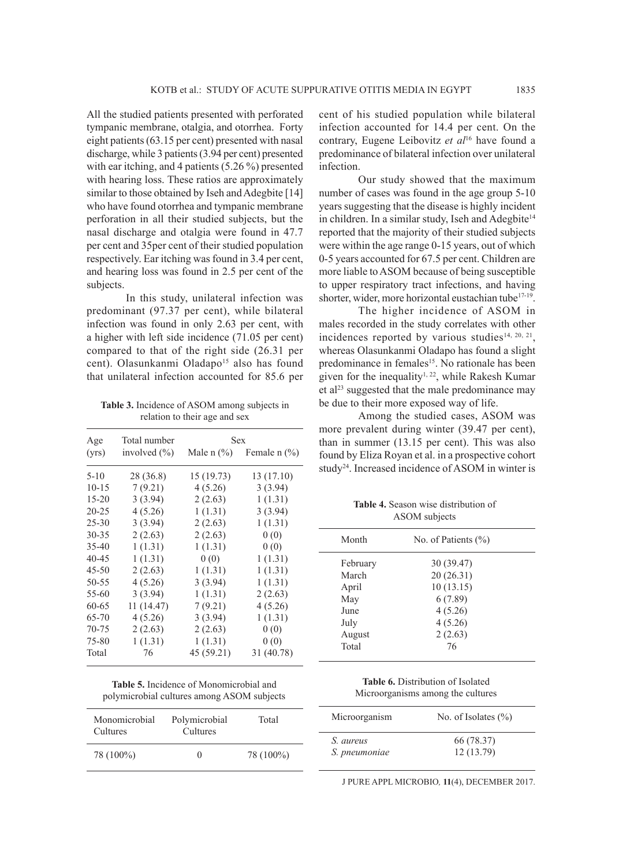All the studied patients presented with perforated tympanic membrane, otalgia, and otorrhea. Forty eight patients (63.15 per cent) presented with nasal discharge, while 3 patients (3.94 per cent) presented with ear itching, and 4 patients (5.26 %) presented with hearing loss. These ratios are approximately similar to those obtained by Iseh and Adegbite [14] who have found otorrhea and tympanic membrane perforation in all their studied subjects, but the nasal discharge and otalgia were found in 47.7 per cent and 35per cent of their studied population respectively. Ear itching was found in 3.4 per cent, and hearing loss was found in 2.5 per cent of the subjects.

In this study, unilateral infection was predominant (97.37 per cent), while bilateral infection was found in only 2.63 per cent, with a higher with left side incidence (71.05 per cent) compared to that of the right side (26.31 per cent). Olasunkanmi Oladapo<sup>15</sup> also has found that unilateral infection accounted for 85.6 per

**Table 3.** Incidence of ASOM among subjects in relation to their age and sex

| Age       | Total number     | Sex        |                             |
|-----------|------------------|------------|-----------------------------|
| (vrs)     | involved $(\% )$ |            | Male $n$ (%) Female $n$ (%) |
| $5 - 10$  | 28 (36.8)        | 15 (19.73) | 13 (17.10)                  |
| $10 - 15$ | 7(9.21)          | 4(5.26)    | 3(3.94)                     |
| 15-20     | 3(3.94)          | 2(2.63)    | 1(1.31)                     |
| $20 - 25$ | 4(5.26)          | 1(1.31)    | 3(3.94)                     |
| $25 - 30$ | 3(3.94)          | 2(2.63)    | 1(1.31)                     |
| 30-35     | 2(2.63)          | 2(2.63)    | 0(0)                        |
| $35 - 40$ | 1(1.31)          | 1(1.31)    | 0(0)                        |
| 40-45     | 1(1.31)          | 0(0)       | 1(1.31)                     |
| 45-50     | 2(2.63)          | 1(1.31)    | 1(1.31)                     |
| 50-55     | 4(5.26)          | 3(3.94)    | 1(1.31)                     |
| 55-60     | 3(3.94)          | 1(1.31)    | 2(2.63)                     |
| 60-65     | 11(14.47)        | 7(9.21)    | 4(5.26)                     |
| 65-70     | 4(5.26)          | 3(3.94)    | 1(1.31)                     |
| 70-75     | 2(2.63)          | 2(2.63)    | 0(0)                        |
| 75-80     | 1(1.31)          | 1(1.31)    | 0(0)                        |
| Total     | 76               | 45 (59.21) | 31 (40.78)                  |

| <b>Table 5.</b> Incidence of Monomicrobial and |                                            |
|------------------------------------------------|--------------------------------------------|
|                                                | polymicrobial cultures among ASOM subjects |

| Monomicrobial<br>Cultures | Polymicrobial<br>Cultures | Total     |
|---------------------------|---------------------------|-----------|
| 78 (100%)                 | $\mathbf{0}$              | 78 (100%) |

cent of his studied population while bilateral infection accounted for 14.4 per cent. On the contrary, Eugene Leibovitz *et al*16 have found a predominance of bilateral infection over unilateral infection.

Our study showed that the maximum number of cases was found in the age group 5-10 years suggesting that the disease is highly incident in children. In a similar study, Iseh and Adegbite<sup>14</sup> reported that the majority of their studied subjects were within the age range 0-15 years, out of which 0-5 years accounted for 67.5 per cent. Children are more liable to ASOM because of being susceptible to upper respiratory tract infections, and having shorter, wider, more horizontal eustachian tube<sup>17-19</sup>.

The higher incidence of ASOM in males recorded in the study correlates with other incidences reported by various studies<sup>14, 20, 21</sup>, whereas Olasunkanmi Oladapo has found a slight predominance in females<sup>15</sup>. No rationale has been given for the inequality<sup>1, 22</sup>, while Rakesh Kumar et al<sup>23</sup> suggested that the male predominance may be due to their more exposed way of life.

Among the studied cases, ASOM was more prevalent during winter (39.47 per cent), than in summer (13.15 per cent). This was also found by Eliza Royan et al. in a prospective cohort study<sup>24</sup>. Increased incidence of ASOM in winter is

**Table 4.** Season wise distribution of ASOM subjects

| Month                                             | No. of Patients $(\% )$                                               |
|---------------------------------------------------|-----------------------------------------------------------------------|
| February<br>March<br>April<br>May<br>June<br>July | 30 (39.47)<br>20(26.31)<br>10(13.15)<br>6(7.89)<br>4(5.26)<br>4(5.26) |
| August<br>Total                                   | 2(2.63)<br>76                                                         |
|                                                   |                                                                       |

**Table 6.** Distribution of Isolated Microorganisms among the cultures

| No. of Isolates $(\% )$ |
|-------------------------|
| 66 (78.37)              |
| 12(13.79)               |
|                         |

J PURE APPL MICROBIO*,* **11**(4), DECEMBER 2017.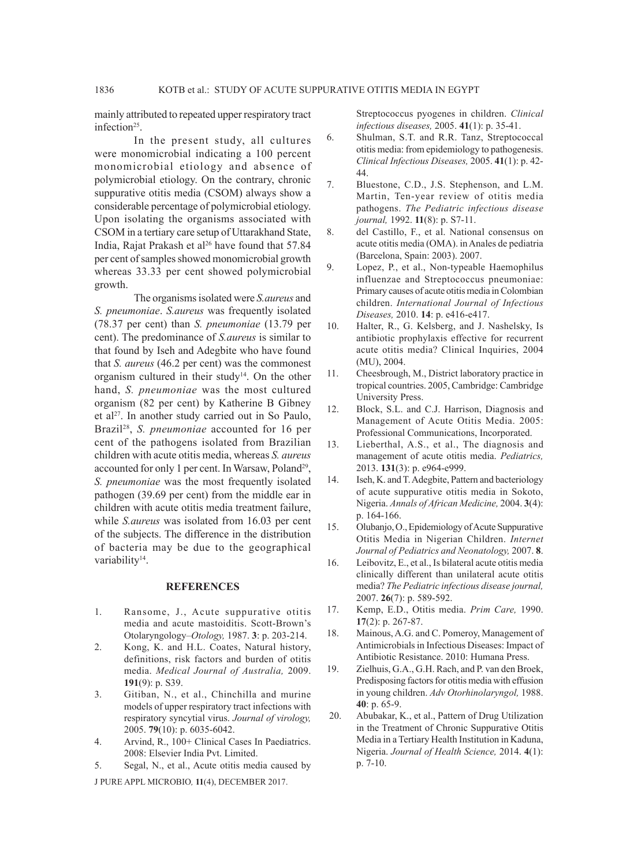mainly attributed to repeated upper respiratory tract infection<sup>25</sup>.

In the present study, all cultures were monomicrobial indicating a 100 percent monomicrobial etiology and absence of polymicrobial etiology. On the contrary, chronic suppurative otitis media (CSOM) always show a considerable percentage of polymicrobial etiology. Upon isolating the organisms associated with CSOM in a tertiary care setup of Uttarakhand State, India, Rajat Prakash et al<sup>26</sup> have found that 57.84 per cent of samples showed monomicrobial growth whereas 33.33 per cent showed polymicrobial growth.

The organisms isolated were *S.aureus* and *S. pneumoniae*. *S.aureus* was frequently isolated (78.37 per cent) than *S. pneumoniae* (13.79 per cent). The predominance of *S.aureus* is similar to that found by Iseh and Adegbite who have found that *S. aureus* (46.2 per cent) was the commonest organism cultured in their study<sup>14</sup>. On the other hand, *S. pneumoniae* was the most cultured organism (82 per cent) by Katherine B Gibney et al<sup>27</sup>. In another study carried out in So Paulo, Brazil28, *S. pneumoniae* accounted for 16 per cent of the pathogens isolated from Brazilian children with acute otitis media, whereas *S. aureus* accounted for only 1 per cent. In Warsaw, Poland<sup>29</sup>, *S. pneumoniae* was the most frequently isolated pathogen (39.69 per cent) from the middle ear in children with acute otitis media treatment failure, while *S.aureus* was isolated from 16.03 per cent of the subjects. The difference in the distribution of bacteria may be due to the geographical variability<sup>14</sup>.

#### **REFERENCES**

- 1. Ransome, J., Acute suppurative otitis media and acute mastoiditis. Scott-Brown's Otolaryngology–*Otology,* 1987. **3**: p. 203-214.
- 2. Kong, K. and H.L. Coates, Natural history, definitions, risk factors and burden of otitis media. *Medical Journal of Australia,* 2009. **191**(9): p. S39.
- 3. Gitiban, N., et al., Chinchilla and murine models of upper respiratory tract infections with respiratory syncytial virus. *Journal of virology,*  2005. **79**(10): p. 6035-6042.
- 4. Arvind, R., 100+ Clinical Cases In Paediatrics. 2008: Elsevier India Pvt. Limited.
- 5. Segal, N., et al., Acute otitis media caused by

J PURE APPL MICROBIO*,* **11**(4), DECEMBER 2017.

Streptococcus pyogenes in children. *Clinical infectious diseases,* 2005. **41**(1): p. 35-41.

- 6. Shulman, S.T. and R.R. Tanz, Streptococcal otitis media: from epidemiology to pathogenesis. *Clinical Infectious Diseases,* 2005. **41**(1): p. 42- 44.
- 7. Bluestone, C.D., J.S. Stephenson, and L.M. Martin, Ten-year review of otitis media pathogens. *The Pediatric infectious disease journal,* 1992. **11**(8): p. S7-11.
- 8. del Castillo, F., et al. National consensus on acute otitis media (OMA). in Anales de pediatria (Barcelona, Spain: 2003). 2007.
- 9. Lopez, P., et al., Non-typeable Haemophilus influenzae and Streptococcus pneumoniae: Primary causes of acute otitis media in Colombian children. *International Journal of Infectious Diseases,* 2010. **14**: p. e416-e417.
- 10. Halter, R., G. Kelsberg, and J. Nashelsky, Is antibiotic prophylaxis effective for recurrent acute otitis media? Clinical Inquiries, 2004 (MU), 2004.
- 11. Cheesbrough, M., District laboratory practice in tropical countries. 2005, Cambridge: Cambridge University Press.
- 12. Block, S.L. and C.J. Harrison, Diagnosis and Management of Acute Otitis Media. 2005: Professional Communications, Incorporated.
- 13. Lieberthal, A.S., et al., The diagnosis and management of acute otitis media. *Pediatrics,*  2013. **131**(3): p. e964-e999.
- 14. Iseh, K. and T. Adegbite, Pattern and bacteriology of acute suppurative otitis media in Sokoto, Nigeria. *Annals of African Medicine,* 2004. **3**(4): p. 164-166.
- 15. Olubanjo, O., Epidemiology of Acute Suppurative Otitis Media in Nigerian Children. *Internet Journal of Pediatrics and Neonatology,* 2007. **8**.
- 16. Leibovitz, E., et al., Is bilateral acute otitis media clinically different than unilateral acute otitis media? *The Pediatric infectious disease journal,*  2007. **26**(7): p. 589-592.
- 17. Kemp, E.D., Otitis media. *Prim Care,* 1990. **17**(2): p. 267-87.
- 18. Mainous, A.G. and C. Pomeroy, Management of Antimicrobials in Infectious Diseases: Impact of Antibiotic Resistance. 2010: Humana Press.
- 19. Zielhuis, G.A., G.H. Rach, and P. van den Broek, Predisposing factors for otitis media with effusion in young children. *Adv Otorhinolaryngol,* 1988. **40**: p. 65-9.
- 20. Abubakar, K., et al., Pattern of Drug Utilization in the Treatment of Chronic Suppurative Otitis Media in a Tertiary Health Institution in Kaduna, Nigeria. *Journal of Health Science,* 2014. **4**(1): p. 7-10.